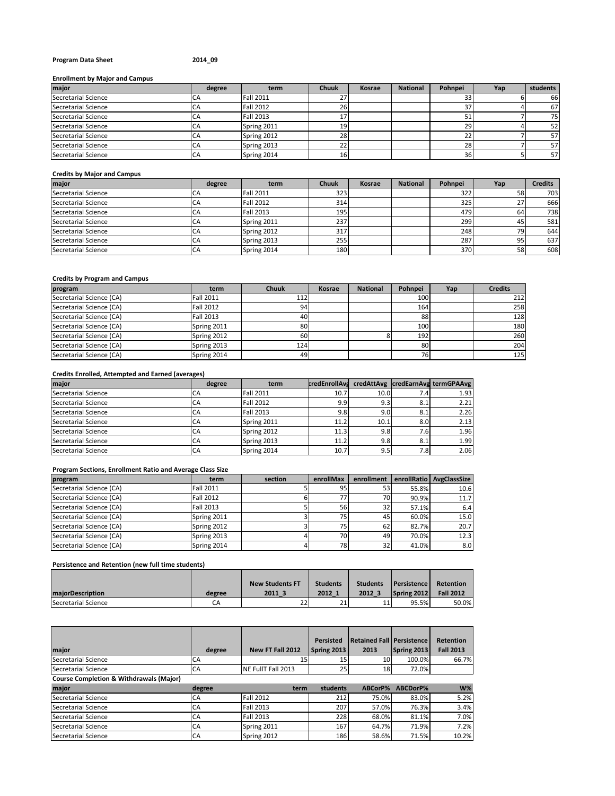### **Program Data Sheet 2014\_09**

#### **Enrollment by Major and Campus**

| major               | degree | term             | <b>Chuuk</b> | Kosrae | <b>National</b> | Pohnpei | Yap | students |
|---------------------|--------|------------------|--------------|--------|-----------------|---------|-----|----------|
| Secretarial Science |        | <b>Fall 2011</b> |              |        |                 |         |     | 66       |
| Secretarial Science | СA     | <b>Fall 2012</b> | 26.          |        |                 | 37      |     | 67       |
| Secretarial Science | СA     | <b>Fall 2013</b> |              |        |                 |         |     | 75       |
| Secretarial Science | СA     | Spring 2011      | 19.          |        |                 | 29      |     | 52       |
| Secretarial Science | СA     | Spring 2012      | 28           |        |                 | 22      |     | 57       |
| Secretarial Science | CA     | Spring 2013      |              |        |                 | 28      |     | 57       |
| Secretarial Science | СA     | Spring 2014      |              |        |                 | 36      |     | 57       |

### **Credits by Major and Campus**

| major                      | degree | term             | <b>Chuuk</b> | Kosrae | <b>National</b> | Pohnpei | Yap | <b>Credits</b> |
|----------------------------|--------|------------------|--------------|--------|-----------------|---------|-----|----------------|
| Secretarial Science        | СA     | <b>Fall 2011</b> | 323          |        |                 | 322     | 58  | 703            |
| <b>Secretarial Science</b> |        | <b>Fall 2012</b> | 314          |        |                 | 325     |     | 666            |
| Secretarial Science        | CA     | <b>Fall 2013</b> | 195          |        |                 | 479     | 64  | 738            |
| Secretarial Science        | CA     | Spring 2011      | 237          |        |                 | 299     | 45  | 581            |
| Secretarial Science        | CA     | Spring 2012      | 317          |        |                 | 248     | 70  | 644            |
| Secretarial Science        | CA     | Spring 2013      | 255          |        |                 | 287     | 95  | 637            |
| Secretarial Science        | CA     | Spring 2014      | 180          |        |                 | 370     | 58  | 608            |

#### **Credits by Program and Campus**

| program                  | term             | <b>Chuuk</b> | Kosrae | <b>National</b> | Pohnpei | Yap | <b>Credits</b> |
|--------------------------|------------------|--------------|--------|-----------------|---------|-----|----------------|
| Secretarial Science (CA) | <b>Fall 2011</b> | 112          |        |                 | 100     |     | 212            |
| Secretarial Science (CA) | <b>Fall 2012</b> | 94           |        |                 | 164     |     | 258            |
| Secretarial Science (CA) | <b>Fall 2013</b> | 40           |        |                 | 88      |     | 128            |
| Secretarial Science (CA) | Spring 2011      | 80           |        |                 | 100     |     | 180            |
| Secretarial Science (CA) | Spring 2012      | 60           |        |                 | 192     |     | 260            |
| Secretarial Science (CA) | Spring 2013      | 124          |        |                 | 80      |     | 204            |
| Secretarial Science (CA) | Spring 2014      | 49           |        |                 | 76      |     | 125            |

### **Credits Enrolled, Attempted and Earned (averages)**

| major               | degree | term             | credEnrollAva |      |      | credAttAvg credEarnAvg termGPAAvg |
|---------------------|--------|------------------|---------------|------|------|-----------------------------------|
| Secretarial Science | LΑ     | <b>Fall 2011</b> | 10.7          | 10.0 | 7.41 | 1.93                              |
| Secretarial Science | CА     | <b>Fall 2012</b> | 9.9           | 9.3  | 8.1  | 2.21                              |
| Secretarial Science | LΑ     | <b>Fall 2013</b> | 9.8           | 9.0  | 8.1  | 2.26                              |
| Secretarial Science | CА     | Spring 2011      | 11.2          | 10.1 | 8.0  | 2.13                              |
| Secretarial Science | CА     | Spring 2012      | 11.3          | 9.8  | 7.61 | 1.96                              |
| Secretarial Science | LΑ     | Spring 2013      | 11.2          | 9.8  | 8.1  | 1.99                              |
| Secretarial Science | CA     | Spring 2014      | 10.7          | 9.5  | 7.8  | 2.06                              |

# **Program Sections, Enrollment Ratio and Average Class Size**

| program                  | term             | section | enrollMax       | enrollment |       | enrollRatio AvgClassSize |
|--------------------------|------------------|---------|-----------------|------------|-------|--------------------------|
| Secretarial Science (CA) | <b>Fall 2011</b> |         | 95              | 53         | 55.8% | 10.6                     |
| Secretarial Science (CA) | <b>Fall 2012</b> |         |                 | 70I        | 90.9% | 11.7                     |
| Secretarial Science (CA) | <b>Fall 2013</b> |         | 56              | 32         | 57.1% | 6.4                      |
| Secretarial Science (CA) | Spring 2011      |         | 75 <sub>l</sub> | 45         | 60.0% | 15.0                     |
| Secretarial Science (CA) | Spring 2012      |         | 751             | 62         | 82.7% | 20.7                     |
| Secretarial Science (CA) | Spring 2013      |         | 70              | 49         | 70.0% | 12.3                     |
| Secretarial Science (CA) | Spring 2014      |         | 78              | 32         | 41.0% | 8.0                      |

# **Persistence and Retention (new full time students)**

|                     |        | <b>New Students FT</b> | <b>Students</b> | <b>Students</b> | <b>Persistence</b> | Retention        |
|---------------------|--------|------------------------|-----------------|-----------------|--------------------|------------------|
| maiorDescription    | degree | 2011 3                 | 2012 1          | 2012 3          | Spring 2012        | <b>Fall 2012</b> |
| Secretarial Science | СA     | $\mathbf{a}$           | 21              | 11              | 95.5%              | 50.0%            |

|                                                    |        |                    | <b>Persisted</b>   | <b>Retained Fall Persistence</b> |             | <b>Retention</b> |
|----------------------------------------------------|--------|--------------------|--------------------|----------------------------------|-------------|------------------|
| major                                              | degree | New FT Fall 2012   | <b>Spring 2013</b> | 2013                             | Spring 2013 | <b>Fall 2013</b> |
| Secretarial Science                                | CA     | 15                 | 15                 | 10                               | 100.0%      | 66.7%            |
| Secretarial Science                                | CA     | NE FullT Fall 2013 | 25                 | 18 <sub>l</sub>                  | 72.0%       |                  |
| <b>Course Completion &amp; Withdrawals (Major)</b> |        |                    |                    |                                  |             |                  |
| major                                              | degree | term               | students           | ABCorP%                          | ABCDorP%    | $W\%$            |
| Secretarial Science                                | CA     | <b>Fall 2012</b>   | 212                | 75.0%                            | 83.0%       | 5.2%             |
| Secretarial Science                                | CA     | Fall 2013          | 207                | 57.0%                            | 76.3%       | 3.4%             |
| Secretarial Science                                | CA     | <b>Fall 2013</b>   | 228                | 68.0%                            | 81.1%       | 7.0%             |
| Secretarial Science                                | CA     | Spring 2011        | 167                | 64.7%                            | 71.9%       | 7.2%             |
| Secretarial Science                                | CA     | Spring 2012        | 186                | 58.6%                            | 71.5%       | 10.2%            |